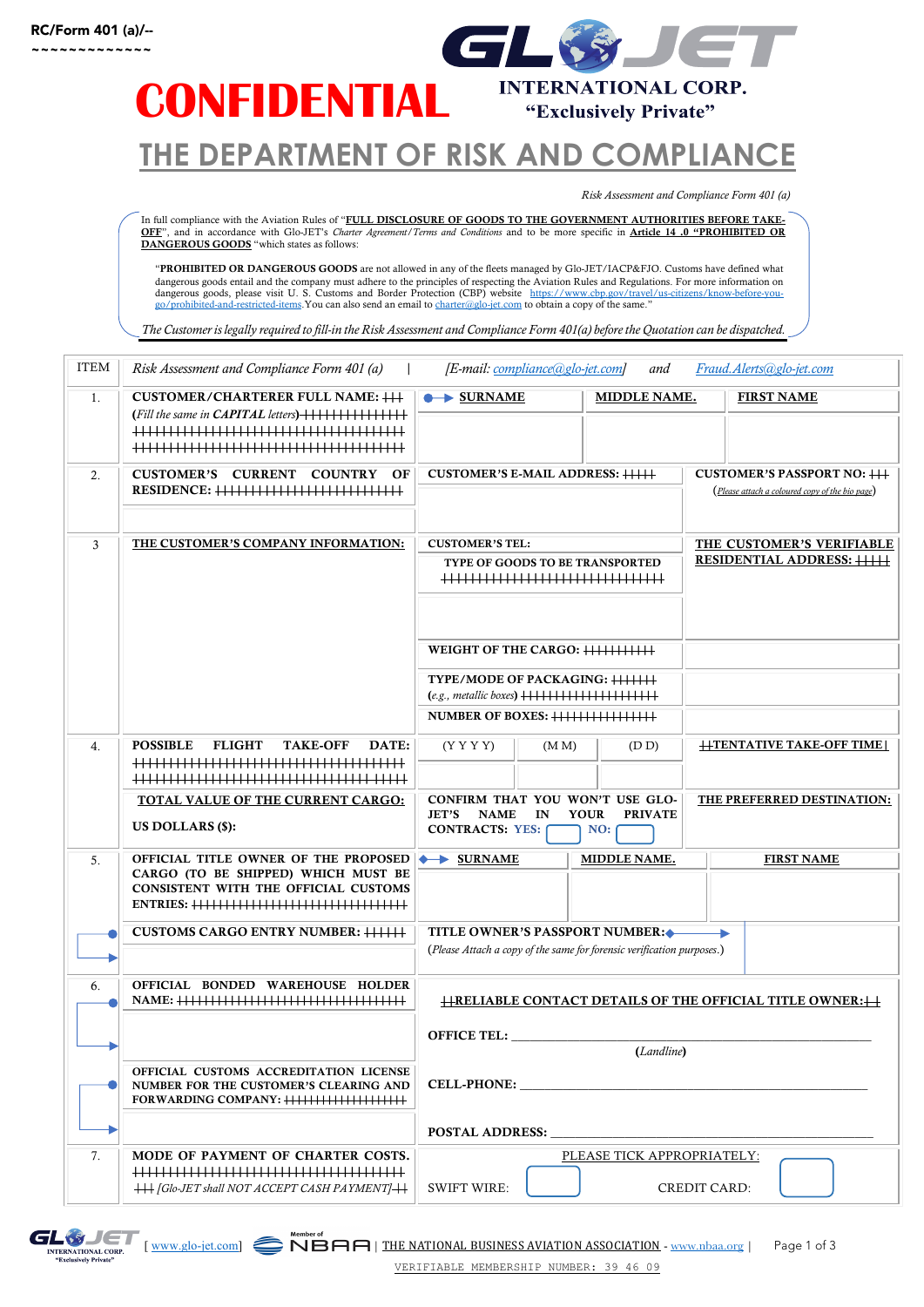

### **THE DEPARTMENT OF RISK AND COMPLIANCE**

*Risk Assessment and Compliance Form 401 (a)* 

In full compliance with the Aviation Rules of "<u>FULL DISCLOSURE OF GOODS TO THE GOVERNMENT AUTHORITIES BEFORE TAKE-</u><br><u>OFF</u>", and in accordance with Glo-JET's *Charter Agreement* / Terms and *Condition*s and to be more spec DANGEROUS GOODS "which states as follows:

"PROHIBITED OR DANGEROUS GOODS are not allowed in any of the fleets managed by Glo-JET/IACP&FJO. Customs have defined what dangerous goods entail and the company must adhere to the principles of respecting the Aviation Rules and Regulations. For more information on<br>dangerous goods, please visit U. S. Customs and Border Protection (CBP) website government of the state of the state and server and server and to charter@glo-jet.com to obtain a copy of the same."

*The Customer is legally required to fill-in the Risk Assessment and Compliance Form 401(a) before the Quotation can be dispatched.*

| ITEM | Risk Assessment and Compliance Form 401 (a)<br>[E-mail: compliance@glo-jet.com]<br>Fraud. Alerts@glo-jet.com<br>and |                                                                                                                                     |              |                                                 |  |
|------|---------------------------------------------------------------------------------------------------------------------|-------------------------------------------------------------------------------------------------------------------------------------|--------------|-------------------------------------------------|--|
| 1.   | <b>CUSTOMER/CHARTERER FULL NAME: +++</b>                                                                            | $\longrightarrow$ SURNAME                                                                                                           | MIDDLE NAME. | <b>FIRST NAME</b>                               |  |
|      |                                                                                                                     |                                                                                                                                     |              |                                                 |  |
|      |                                                                                                                     |                                                                                                                                     |              |                                                 |  |
|      |                                                                                                                     |                                                                                                                                     |              |                                                 |  |
| 2.   | CUSTOMER'S CURRENT COUNTRY OF                                                                                       | <b>CUSTOMER'S E-MAIL ADDRESS: ++++++</b>                                                                                            |              | <b>CUSTOMER'S PASSPORT NO: +++</b>              |  |
|      |                                                                                                                     |                                                                                                                                     |              | (Please attach a coloured copy of the bio page) |  |
|      |                                                                                                                     |                                                                                                                                     |              |                                                 |  |
| 3    | THE CUSTOMER'S COMPANY INFORMATION:                                                                                 | <b>CUSTOMER'S TEL:</b><br>THE CUSTOMER'S VERIFIABLE                                                                                 |              |                                                 |  |
|      |                                                                                                                     | TYPE OF GOODS TO BE TRANSPORTED                                                                                                     |              | <b>RESIDENTIAL ADDRESS: +++++</b>               |  |
|      |                                                                                                                     |                                                                                                                                     |              |                                                 |  |
|      |                                                                                                                     |                                                                                                                                     |              |                                                 |  |
|      |                                                                                                                     |                                                                                                                                     |              |                                                 |  |
|      |                                                                                                                     |                                                                                                                                     |              |                                                 |  |
|      |                                                                                                                     |                                                                                                                                     |              |                                                 |  |
|      |                                                                                                                     | TYPE/MODE OF PACKAGING: ++++++++                                                                                                    |              |                                                 |  |
|      |                                                                                                                     |                                                                                                                                     |              |                                                 |  |
|      |                                                                                                                     |                                                                                                                                     |              |                                                 |  |
| 4.   | <b>POSSIBLE</b><br><b>FLIGHT</b><br><b>TAKE-OFF</b><br>DATE:                                                        | (Y Y Y Y)<br>(M M)<br>(D D)                                                                                                         |              | <b>HTENTATIVE TAKE-OFF TIME</b>                 |  |
|      |                                                                                                                     |                                                                                                                                     |              |                                                 |  |
|      |                                                                                                                     |                                                                                                                                     |              |                                                 |  |
|      | TOTAL VALUE OF THE CURRENT CARGO:                                                                                   | CONFIRM THAT YOU WON'T USE GLO-<br>THE PREFERRED DESTINATION:<br><b>JET'S</b><br><b>NAME</b><br>IN<br><b>YOUR</b><br><b>PRIVATE</b> |              |                                                 |  |
|      | US DOLLARS (\$):                                                                                                    | <b>CONTRACTS: YES:</b><br>NO:                                                                                                       |              |                                                 |  |
| 5.   | OFFICIAL TITLE OWNER OF THE PROPOSED SURNAME                                                                        | <b>MIDDLE NAME.</b><br><b>FIRST NAME</b>                                                                                            |              |                                                 |  |
|      | CARGO (TO BE SHIPPED) WHICH MUST BE                                                                                 |                                                                                                                                     |              |                                                 |  |
|      | <b>CONSISTENT WITH THE OFFICIAL CUSTOMS</b>                                                                         |                                                                                                                                     |              |                                                 |  |
|      |                                                                                                                     |                                                                                                                                     |              |                                                 |  |
|      | <b>CUSTOMS CARGO ENTRY NUMBER: +++++++</b>                                                                          | <b>TITLE OWNER'S PASSPORT NUMBER:</b><br>(Please Attach a copy of the same for forensic verification purposes.)                     |              |                                                 |  |
|      |                                                                                                                     |                                                                                                                                     |              |                                                 |  |
| 6.   | OFFICIAL BONDED WAREHOUSE HOLDER                                                                                    |                                                                                                                                     |              |                                                 |  |
|      |                                                                                                                     | $\overline{H}$ RELIABLE CONTACT DETAILS OF THE OFFICIAL TITLE OWNER: $\overline{H}$                                                 |              |                                                 |  |
|      |                                                                                                                     |                                                                                                                                     |              |                                                 |  |
|      |                                                                                                                     | <b>OFFICE TEL:</b>                                                                                                                  |              |                                                 |  |
|      | OFFICIAL CUSTOMS ACCREDITATION LICENSE                                                                              | (Landline)                                                                                                                          |              |                                                 |  |
|      | NUMBER FOR THE CUSTOMER'S CLEARING AND                                                                              | CELL-PHONE:                                                                                                                         |              |                                                 |  |
|      |                                                                                                                     |                                                                                                                                     |              |                                                 |  |
|      |                                                                                                                     | POSTAL ADDRESS:                                                                                                                     |              |                                                 |  |
| 7.   | MODE OF PAYMENT OF CHARTER COSTS.                                                                                   | PLEASE TICK APPROPRIATELY:                                                                                                          |              |                                                 |  |
|      |                                                                                                                     |                                                                                                                                     |              |                                                 |  |
|      |                                                                                                                     |                                                                                                                                     |              |                                                 |  |
|      | +++ [Glo-JET shall NOT ACCEPT CASH PAYMENT]+++                                                                      | <b>SWIFT WIRE:</b>                                                                                                                  |              | CREDIT CARD:                                    |  |

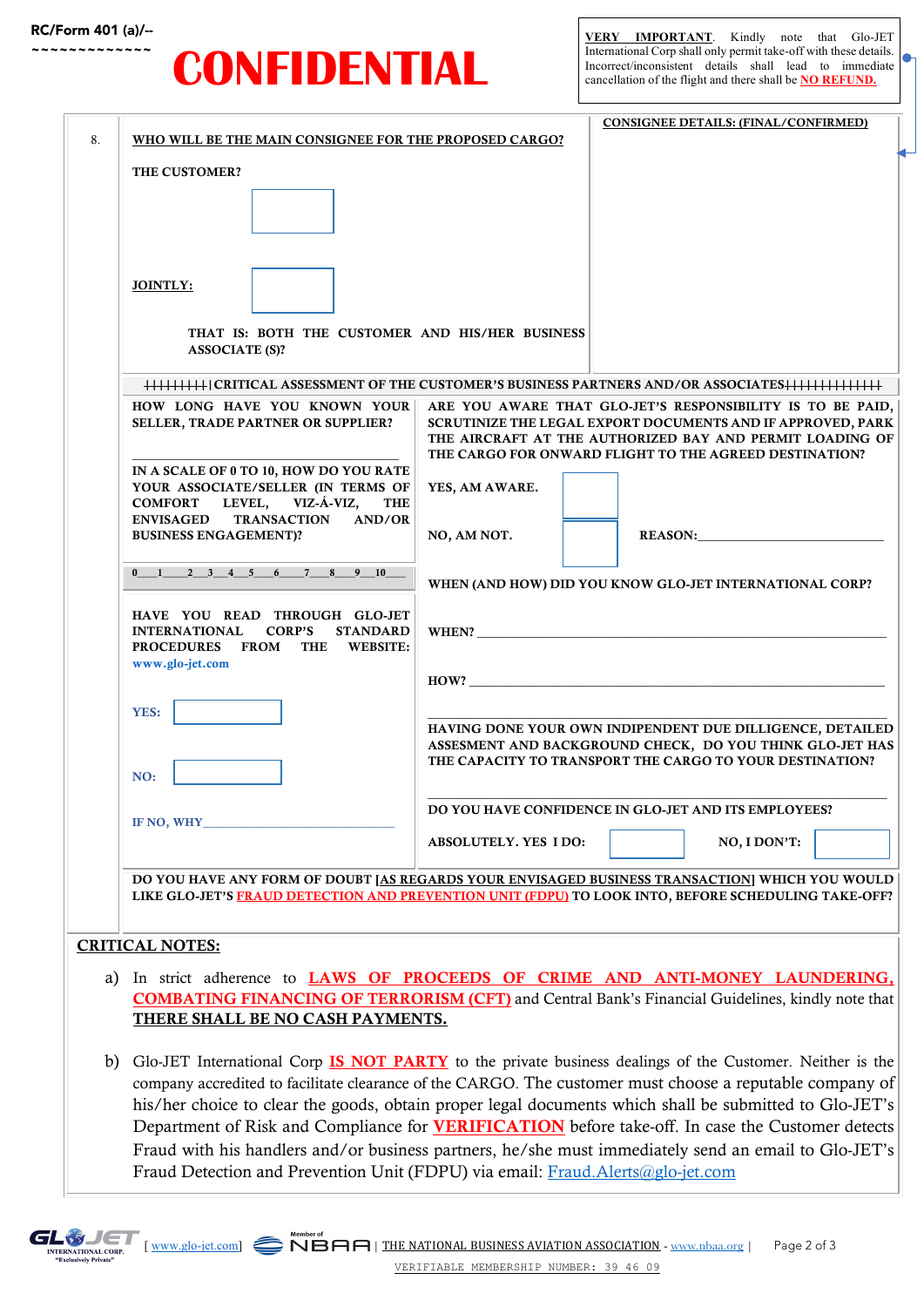### RC/Form 401 (a)/--

# **CONFIDENTIAL**

Ŏ

|                                                                                                         |                                                                                                                                                                                                       |                                                                                                                         |                                                      | <b>CONSIGNEE DETAILS: (FINAL/CONFIRMED)</b> |  |  |  |
|---------------------------------------------------------------------------------------------------------|-------------------------------------------------------------------------------------------------------------------------------------------------------------------------------------------------------|-------------------------------------------------------------------------------------------------------------------------|------------------------------------------------------|---------------------------------------------|--|--|--|
| 8.                                                                                                      | WHO WILL BE THE MAIN CONSIGNEE FOR THE PROPOSED CARGO?                                                                                                                                                |                                                                                                                         |                                                      |                                             |  |  |  |
|                                                                                                         | THE CUSTOMER?                                                                                                                                                                                         |                                                                                                                         |                                                      |                                             |  |  |  |
|                                                                                                         |                                                                                                                                                                                                       |                                                                                                                         |                                                      |                                             |  |  |  |
|                                                                                                         |                                                                                                                                                                                                       |                                                                                                                         |                                                      |                                             |  |  |  |
|                                                                                                         |                                                                                                                                                                                                       |                                                                                                                         |                                                      |                                             |  |  |  |
|                                                                                                         |                                                                                                                                                                                                       |                                                                                                                         |                                                      |                                             |  |  |  |
|                                                                                                         | <b>JOINTLY:</b>                                                                                                                                                                                       |                                                                                                                         |                                                      |                                             |  |  |  |
|                                                                                                         |                                                                                                                                                                                                       |                                                                                                                         |                                                      |                                             |  |  |  |
|                                                                                                         | THAT IS: BOTH THE CUSTOMER AND HIS/HER BUSINESS                                                                                                                                                       |                                                                                                                         |                                                      |                                             |  |  |  |
|                                                                                                         | <b>ASSOCIATE (S)?</b>                                                                                                                                                                                 |                                                                                                                         |                                                      |                                             |  |  |  |
|                                                                                                         |                                                                                                                                                                                                       |                                                                                                                         |                                                      |                                             |  |  |  |
|                                                                                                         | HOW LONG HAVE YOU KNOWN YOUR                                                                                                                                                                          | ARE YOU AWARE THAT GLO-JET'S RESPONSIBILITY IS TO BE PAID,                                                              |                                                      |                                             |  |  |  |
|                                                                                                         | SELLER, TRADE PARTNER OR SUPPLIER?                                                                                                                                                                    | SCRUTINIZE THE LEGAL EXPORT DOCUMENTS AND IF APPROVED, PARK<br>THE AIRCRAFT AT THE AUTHORIZED BAY AND PERMIT LOADING OF |                                                      |                                             |  |  |  |
|                                                                                                         |                                                                                                                                                                                                       | THE CARGO FOR ONWARD FLIGHT TO THE AGREED DESTINATION?                                                                  |                                                      |                                             |  |  |  |
|                                                                                                         | IN A SCALE OF 0 TO 10, HOW DO YOU RATE<br>YOUR ASSOCIATE/SELLER (IN TERMS OF                                                                                                                          | YES, AM AWARE.                                                                                                          |                                                      |                                             |  |  |  |
|                                                                                                         | LEVEL, VIZ-Á-VIZ,<br><b>COMFORT</b><br><b>THE</b>                                                                                                                                                     |                                                                                                                         |                                                      |                                             |  |  |  |
|                                                                                                         | TRANSACTION AND/OR<br><b>ENVISAGED</b><br><b>BUSINESS ENGAGEMENT)?</b>                                                                                                                                | NO, AM NOT.                                                                                                             |                                                      | REASON:                                     |  |  |  |
|                                                                                                         |                                                                                                                                                                                                       |                                                                                                                         |                                                      |                                             |  |  |  |
|                                                                                                         | $0 \t 1 \t 2 \t 3 \t 4 \t 5 \t 6 \t 7 \t 8 \t 9 \t 10$                                                                                                                                                | WHEN (AND HOW) DID YOU KNOW GLO-JET INTERNATIONAL CORP?                                                                 |                                                      |                                             |  |  |  |
|                                                                                                         |                                                                                                                                                                                                       |                                                                                                                         |                                                      |                                             |  |  |  |
|                                                                                                         | HAVE YOU READ THROUGH GLO-JET<br>INTERNATIONAL CORP'S<br><b>STANDARD</b>                                                                                                                              | WHEN?                                                                                                                   |                                                      |                                             |  |  |  |
|                                                                                                         | PROCEDURES FROM THE WEBSITE:                                                                                                                                                                          |                                                                                                                         |                                                      |                                             |  |  |  |
|                                                                                                         | www.glo-jet.com                                                                                                                                                                                       | $\mathbf{HOW?}$                                                                                                         |                                                      |                                             |  |  |  |
|                                                                                                         |                                                                                                                                                                                                       |                                                                                                                         |                                                      |                                             |  |  |  |
|                                                                                                         | YES:                                                                                                                                                                                                  | HAVING DONE YOUR OWN INDIPENDENT DUE DILLIGENCE, DETAILED                                                               |                                                      |                                             |  |  |  |
|                                                                                                         |                                                                                                                                                                                                       | ASSESMENT AND BACKGROUND CHECK, DO YOU THINK GLO-JET HAS                                                                |                                                      |                                             |  |  |  |
|                                                                                                         | NO:                                                                                                                                                                                                   | THE CAPACITY TO TRANSPORT THE CARGO TO YOUR DESTINATION?                                                                |                                                      |                                             |  |  |  |
|                                                                                                         |                                                                                                                                                                                                       |                                                                                                                         |                                                      |                                             |  |  |  |
|                                                                                                         | IF NO, WHY                                                                                                                                                                                            |                                                                                                                         | DO YOU HAVE CONFIDENCE IN GLO-JET AND ITS EMPLOYEES? |                                             |  |  |  |
|                                                                                                         |                                                                                                                                                                                                       | ABSOLUTELY. YES IDO:                                                                                                    |                                                      | NO, I DON'T:                                |  |  |  |
|                                                                                                         |                                                                                                                                                                                                       |                                                                                                                         |                                                      |                                             |  |  |  |
|                                                                                                         | DO YOU HAVE ANY FORM OF DOUBT [AS REGARDS YOUR ENVISAGED BUSINESS TRANSACTION] WHICH YOU WOULD<br>LIKE GLO-JET'S FRAUD DETECTION AND PREVENTION UNIT (FDPU) TO LOOK INTO, BEFORE SCHEDULING TAKE-OFF? |                                                                                                                         |                                                      |                                             |  |  |  |
|                                                                                                         |                                                                                                                                                                                                       |                                                                                                                         |                                                      |                                             |  |  |  |
|                                                                                                         | <b>CRITICAL NOTES:</b>                                                                                                                                                                                |                                                                                                                         |                                                      |                                             |  |  |  |
|                                                                                                         |                                                                                                                                                                                                       |                                                                                                                         |                                                      |                                             |  |  |  |
| a)                                                                                                      | In strict adherence to <b>LAWS OF PROCEEDS OF CRIME AND ANTI-MONEY LAUNDERING,</b>                                                                                                                    |                                                                                                                         |                                                      |                                             |  |  |  |
|                                                                                                         | <b>COMBATING FINANCING OF TERRORISM (CFT)</b> and Central Bank's Financial Guidelines, kindly note that<br>THERE SHALL BE NO CASH PAYMENTS.                                                           |                                                                                                                         |                                                      |                                             |  |  |  |
|                                                                                                         |                                                                                                                                                                                                       |                                                                                                                         |                                                      |                                             |  |  |  |
| b)                                                                                                      | Glo-JET International Corp <b>IS NOT PARTY</b> to the private business dealings of the Customer. Neither is the                                                                                       |                                                                                                                         |                                                      |                                             |  |  |  |
|                                                                                                         | company accredited to facilitate clearance of the CARGO. The customer must choose a reputable company of                                                                                              |                                                                                                                         |                                                      |                                             |  |  |  |
|                                                                                                         | his/her choice to clear the goods, obtain proper legal documents which shall be submitted to Glo-JET's                                                                                                |                                                                                                                         |                                                      |                                             |  |  |  |
| Department of Risk and Compliance for <b>VERIFICATION</b> before take-off. In case the Customer detects |                                                                                                                                                                                                       |                                                                                                                         |                                                      |                                             |  |  |  |
|                                                                                                         | Fraud with his handlers and/or business partners, he/she must immediately send an email to Glo-JET's                                                                                                  |                                                                                                                         |                                                      |                                             |  |  |  |
|                                                                                                         | Fraud Detection and Prevention Unit (FDPU) via email: Fraud.Alerts@glo-jet.com                                                                                                                        |                                                                                                                         |                                                      |                                             |  |  |  |